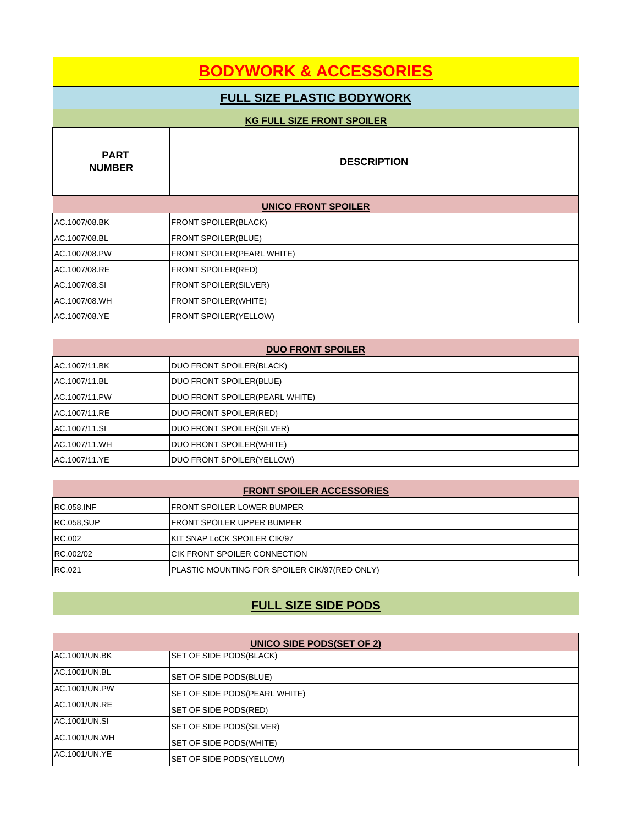# **BODYWORK & ACCESSORIES**

## **FULL SIZE PLASTIC BODYWORK**

| <b>KG FULL SIZE FRONT SPOILER</b> |                                    |  |
|-----------------------------------|------------------------------------|--|
| <b>PART</b><br><b>NUMBER</b>      | <b>DESCRIPTION</b>                 |  |
| <b>UNICO FRONT SPOILER</b>        |                                    |  |
| AC.1007/08.BK                     | <b>FRONT SPOILER(BLACK)</b>        |  |
| AC.1007/08.BL                     | <b>FRONT SPOILER(BLUE)</b>         |  |
| AC.1007/08.PW                     | <b>FRONT SPOILER (PEARL WHITE)</b> |  |
| AC.1007/08.RE                     | <b>FRONT SPOILER(RED)</b>          |  |
| AC.1007/08.SI                     | <b>FRONT SPOILER(SILVER)</b>       |  |
| AC.1007/08.WH                     | <b>FRONT SPOILER(WHITE)</b>        |  |
| AC.1007/08.YE                     | FRONT SPOILER(YELLOW)              |  |

| <b>DUO FRONT SPOILER</b> |                                        |
|--------------------------|----------------------------------------|
| AC.1007/11.BK            | DUO FRONT SPOILER(BLACK)               |
| AC.1007/11.BL            | DUO FRONT SPOILER(BLUE)                |
| AC.1007/11.PW            | <b>DUO FRONT SPOILER (PEARL WHITE)</b> |
| AC.1007/11.RE            | DUO FRONT SPOILER(RED)                 |
| AC.1007/11.SI            | <b>DUO FRONT SPOILER(SILVER)</b>       |
| IAC.1007/11.WH           | DUO FRONT SPOILER(WHITE)               |
| AC.1007/11.YE            | DUO FRONT SPOILER(YELLOW)              |

| <b>FRONT SPOILER ACCESSORIES</b> |                                                      |
|----------------------------------|------------------------------------------------------|
| <b>RC.058.INF</b>                | <b>IFRONT SPOILER LOWER BUMPER</b>                   |
| <b>RC.058,SUP</b>                | <b>IFRONT SPOILER UPPER BUMPER</b>                   |
| RC.002                           | <b>IKIT SNAP LOCK SPOILER CIK/97</b>                 |
| RC.002/02                        | ICIK FRONT SPOILER CONNECTION                        |
| RC.021                           | <b>PLASTIC MOUNTING FOR SPOILER CIK/97(RED ONLY)</b> |

## **FULL SIZE SIDE PODS**

| <b>UNICO SIDE PODS(SET OF 2)</b> |                                 |
|----------------------------------|---------------------------------|
| AC.1001/UN.BK                    | <b>SET OF SIDE PODS(BLACK)</b>  |
| AC.1001/UN.BL                    | SET OF SIDE PODS(BLUE)          |
| AC.1001/UN.PW                    | SET OF SIDE PODS(PEARL WHITE)   |
| <b>IAC.1001/UN.RE</b>            | SET OF SIDE PODS(RED)           |
| AC.1001/UN.SI                    | <b>SET OF SIDE PODS(SILVER)</b> |
| <b>AC.1001/UN.WH</b>             | SET OF SIDE PODS(WHITE)         |
| AC.1001/UN.YE                    | SET OF SIDE PODS(YELLOW)        |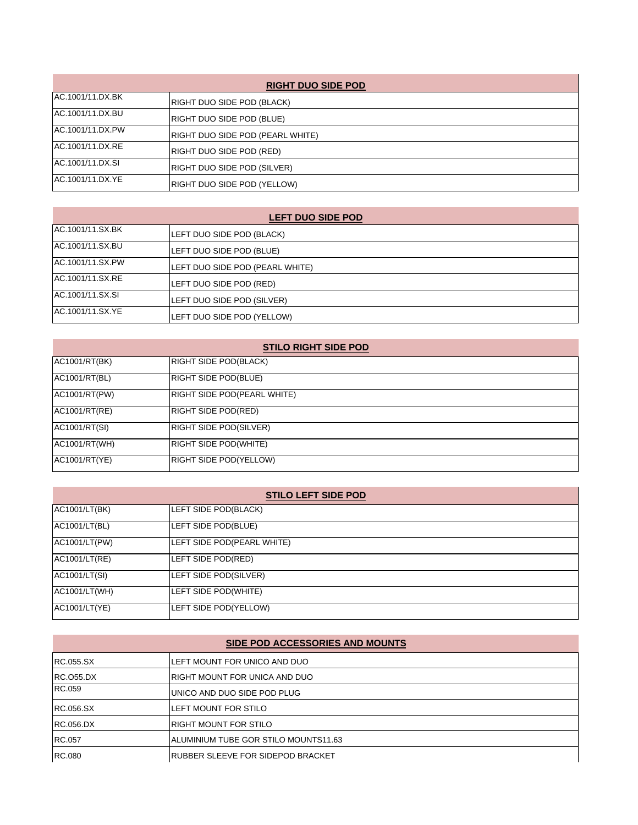| <b>RIGHT DUO SIDE POD</b> |                                         |
|---------------------------|-----------------------------------------|
| AC.1001/11.DX.BK          | RIGHT DUO SIDE POD (BLACK)              |
| AC.1001/11.DX.BU          | RIGHT DUO SIDE POD (BLUE)               |
| AC.1001/11.DX.PW          | <b>RIGHT DUO SIDE POD (PEARL WHITE)</b> |
| AC.1001/11.DX.RE          | RIGHT DUO SIDE POD (RED)                |
| AC.1001/11.DX.SI          | <b>RIGHT DUO SIDE POD (SILVER)</b>      |
| AC.1001/11.DX.YE          | RIGHT DUO SIDE POD (YELLOW)             |

| AC.1001/11.SX.BK | LEFT DUO SIDE POD (BLACK)       |
|------------------|---------------------------------|
| AC.1001/11.SX.BU | LEFT DUO SIDE POD (BLUE)        |
| AC.1001/11.SX.PW | LEFT DUO SIDE POD (PEARL WHITE) |
| AC.1001/11.SX.RE | LEFT DUO SIDE POD (RED)         |
| AC.1001/11.SX.SI | LEFT DUO SIDE POD (SILVER)      |
| AC.1001/11.SX.YE | LEFT DUO SIDE POD (YELLOW)      |

| <b>STILO RIGHT SIDE POD</b> |                               |
|-----------------------------|-------------------------------|
| AC1001/RT(BK)               | <b>RIGHT SIDE POD(BLACK)</b>  |
| AC1001/RT(BL)               | <b>RIGHT SIDE POD(BLUE)</b>   |
| AC1001/RT(PW)               | RIGHT SIDE POD(PEARL WHITE)   |
| AC1001/RT(RE)               | RIGHT SIDE POD(RED)           |
| AC1001/RT(SI)               | <b>RIGHT SIDE POD(SILVER)</b> |
| AC1001/RT(WH)               | <b>RIGHT SIDE POD(WHITE)</b>  |
| AC1001/RT(YE)               | RIGHT SIDE POD(YELLOW)        |

| <b>STILO LEFT SIDE POD</b> |                            |
|----------------------------|----------------------------|
| AC1001/LT(BK)              | LEFT SIDE POD(BLACK)       |
| AC1001/LT(BL)              | LEFT SIDE POD(BLUE)        |
| AC1001/LT(PW)              | LEFT SIDE POD(PEARL WHITE) |
| AC1001/LT(RE)              | LEFT SIDE POD(RED)         |
| AC1001/LT(SI)              | LEFT SIDE POD(SILVER)      |
| AC1001/LT(WH)              | LEFT SIDE POD(WHITE)       |
| AC1001/LT(YE)              | LEFT SIDE POD(YELLOW)      |

#### **SIDE POD ACCESSORIES AND MOUNTS**

| <b>IRC.055.SX</b> | LEFT MOUNT FOR UNICO AND DUO              |
|-------------------|-------------------------------------------|
| <b>IRC.055.DX</b> | <b>IRIGHT MOUNT FOR UNICA AND DUO</b>     |
| <b>RC.059</b>     | <b>IUNICO AND DUO SIDE POD PLUG</b>       |
| <b>RC.056.SX</b>  | ILEFT MOUNT FOR STILO                     |
| <b>IRC.056.DX</b> | <b>IRIGHT MOUNT FOR STILO</b>             |
| <b>RC.057</b>     | IALUMINIUM TUBE GOR STILO MOUNTS11.63     |
| <b>RC.080</b>     | <b>IRUBBER SLEEVE FOR SIDEPOD BRACKET</b> |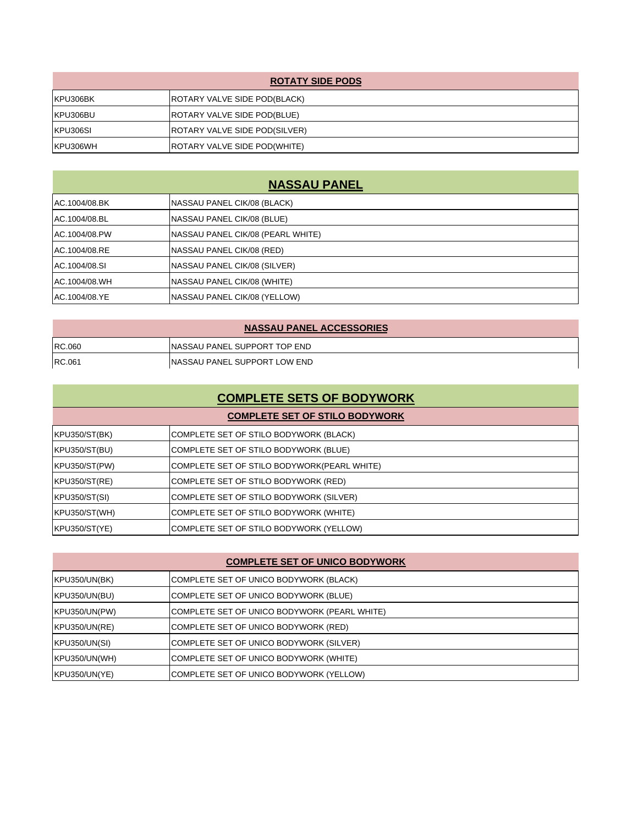| <b>ROTATY SIDE PODS</b> |                                     |
|-------------------------|-------------------------------------|
| KPU306BK                | <b>ROTARY VALVE SIDE POD(BLACK)</b> |
| KPU306BU                | ROTARY VALVE SIDE POD(BLUE)         |
| KPU306SI                | ROTARY VALVE SIDE POD(SILVER)       |
| KPU306WH                | <b>ROTARY VALVE SIDE POD(WHITE)</b> |

### **NASSAU PANEL**

| AC.1004/08.BK | NASSAU PANEL CIK/08 (BLACK)          |
|---------------|--------------------------------------|
| AC.1004/08.BL | <b>INASSAU PANEL CIK/08 (BLUE)</b>   |
| AC.1004/08.PW | INASSAU PANEL CIK/08 (PEARL WHITE)   |
| AC.1004/08.RE | <b>INASSAU PANEL CIK/08 (RED)</b>    |
| AC.1004/08.SI | <b>INASSAU PANEL CIK/08 (SILVER)</b> |
| AC.1004/08.WH | <b>INASSAU PANEL CIK/08 (WHITE)</b>  |
| AC.1004/08.YE | NASSAU PANEL CIK/08 (YELLOW)         |

| <b>NASSAU PANEL ACCESSORIES</b> |                               |  |
|---------------------------------|-------------------------------|--|
| <b>RC.060</b>                   | INASSAU PANEL SUPPORT TOP END |  |
| <b>RC.061</b>                   | INASSAU PANEL SUPPORT LOW END |  |

# **COMPLETE SETS OF BODYWORK**

### KPU350/ST(BK) COMPLETE SET OF STILO BODYWORK (BLACK) KPU350/ST(BU) COMPLETE SET OF STILO BODYWORK (BLUE) KPU350/ST(PW) COMPLETE SET OF STILO BODYWORK(PEARL WHITE) KPU350/ST(RE) COMPLETE SET OF STILO BODYWORK (RED) KPU350/ST(SI) COMPLETE SET OF STILO BODYWORK (SILVER) KPU350/ST(WH) COMPLETE SET OF STILO BODYWORK (WHITE) KPU350/ST(YE) COMPLETE SET OF STILO BODYWORK (YELLOW) **COMPLETE SET OF STILO BODYWORK**

#### **COMPLETE SET OF UNICO BODYWORK**

| KPU350/UN(BK) | COMPLETE SET OF UNICO BODYWORK (BLACK)       |
|---------------|----------------------------------------------|
| KPU350/UN(BU) | COMPLETE SET OF UNICO BODYWORK (BLUE)        |
| KPU350/UN(PW) | COMPLETE SET OF UNICO BODYWORK (PEARL WHITE) |
| KPU350/UN(RE) | COMPLETE SET OF UNICO BODYWORK (RED)         |
| KPU350/UN(SI) | COMPLETE SET OF UNICO BODYWORK (SILVER)      |
| KPU350/UN(WH) | COMPLETE SET OF UNICO BODYWORK (WHITE)       |
| KPU350/UN(YE) | COMPLETE SET OF UNICO BODYWORK (YELLOW)      |